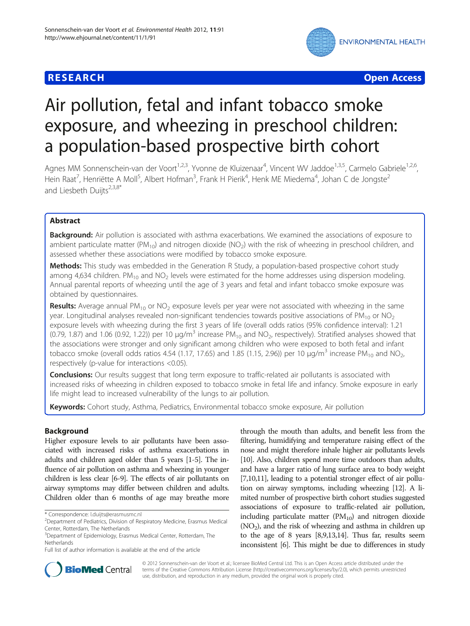

**RESEARCH CHEAR CHEAR CHEAR CHEAR CHEAR CHEAR CHEAR CHEAR CHEAR CHEAR CHEAR CHEAR CHEAR CHEAR CHEAR CHEAR CHEAR** 

# Air pollution, fetal and infant tobacco smoke exposure, and wheezing in preschool children: a population-based prospective birth cohort

Agnes MM Sonnenschein-van der Voort<sup>1,2,3</sup>, Yvonne de Kluizenaar<sup>4</sup>, Vincent WV Jaddoe<sup>1,3,5</sup>, Carmelo Gabriele<sup>1,2,6</sup>, Hein Raat<sup>7</sup>, Henriëtte A Moll<sup>5</sup>, Albert Hofman<sup>3</sup>, Frank H Pierik<sup>4</sup>, Henk ME Miedema<sup>4</sup>, Johan C de Jongste<sup>2</sup> and Liesbeth Duijts $2,3,8^*$ 

# Abstract

Background: Air pollution is associated with asthma exacerbations. We examined the associations of exposure to ambient particulate matter ( $PM_{10}$ ) and nitrogen dioxide ( $NO<sub>2</sub>$ ) with the risk of wheezing in preschool children, and assessed whether these associations were modified by tobacco smoke exposure.

Methods: This study was embedded in the Generation R Study, a population-based prospective cohort study among 4,634 children. PM<sub>10</sub> and NO<sub>2</sub> levels were estimated for the home addresses using dispersion modeling. Annual parental reports of wheezing until the age of 3 years and fetal and infant tobacco smoke exposure was obtained by questionnaires.

Results: Average annual  $PM_{10}$  or  $NO<sub>2</sub>$  exposure levels per year were not associated with wheezing in the same year. Longitudinal analyses revealed non-significant tendencies towards positive associations of  $PM_{10}$  or  $NO<sub>2</sub>$ exposure levels with wheezing during the first 3 years of life (overall odds ratios (95% confidence interval): 1.21 (0.79, 1.87) and 1.06 (0.92, 1.22)) per 10  $\mu g/m^3$  increase PM<sub>10</sub> and NO<sub>2</sub>, respectively). Stratified analyses showed that the associations were stronger and only significant among children who were exposed to both fetal and infant tobacco smoke (overall odds ratios 4.54 (1.17, 17.65) and 1.85 (1.15, 2.96)) per 10  $\mu g/m^3$  increase PM<sub>10</sub> and NO<sub>2</sub>, respectively (p-value for interactions <0.05).

**Conclusions:** Our results suggest that long term exposure to traffic-related air pollutants is associated with increased risks of wheezing in children exposed to tobacco smoke in fetal life and infancy. Smoke exposure in early life might lead to increased vulnerability of the lungs to air pollution.

Keywords: Cohort study, Asthma, Pediatrics, Environmental tobacco smoke exposure, Air pollution

# Background

Higher exposure levels to air pollutants have been associated with increased risks of asthma exacerbations in adults and children aged older than 5 years [[1](#page-8-0)-[5\]](#page-8-0). The influence of air pollution on asthma and wheezing in younger children is less clear [\[6-9\]](#page-8-0). The effects of air pollutants on airway symptoms may differ between children and adults. Children older than 6 months of age may breathe more

through the mouth than adults, and benefit less from the filtering, humidifying and temperature raising effect of the nose and might therefore inhale higher air pollutants levels [[10](#page-8-0)]. Also, children spend more time outdoors than adults, and have a larger ratio of lung surface area to body weight [[7,10,11](#page-8-0)], leading to a potential stronger effect of air pollution on airway symptoms, including wheezing [\[12\]](#page-8-0). A limited number of prospective birth cohort studies suggested associations of exposure to traffic-related air pollution, including particulate matter  $(PM_{10})$  and nitrogen dioxide  $(NO<sub>2</sub>)$ , and the risk of wheezing and asthma in children up to the age of 8 years [\[8,9,13,14\]](#page-8-0). Thus far, results seem inconsistent [\[6\]](#page-8-0). This might be due to differences in study



© 2012 Sonnenschein-van der Voort et al.; licensee BioMed Central Ltd. This is an Open Access article distributed under the terms of the Creative Commons Attribution License (<http://creativecommons.org/licenses/by/2.0>), which permits unrestricted use, distribution, and reproduction in any medium, provided the original work is properly cited.

<sup>\*</sup> Correspondence: [l.duijts@erasmusmc.nl](mailto:l.duijts@erasmusmc.nl) <sup>2</sup>

<sup>&</sup>lt;sup>2</sup>Department of Pediatrics, Division of Respiratory Medicine, Erasmus Medical Center, Rotterdam, The Netherlands

<sup>&</sup>lt;sup>3</sup>Department of Epidemiology, Erasmus Medical Center, Rotterdam, The Netherlands

Full list of author information is available at the end of the article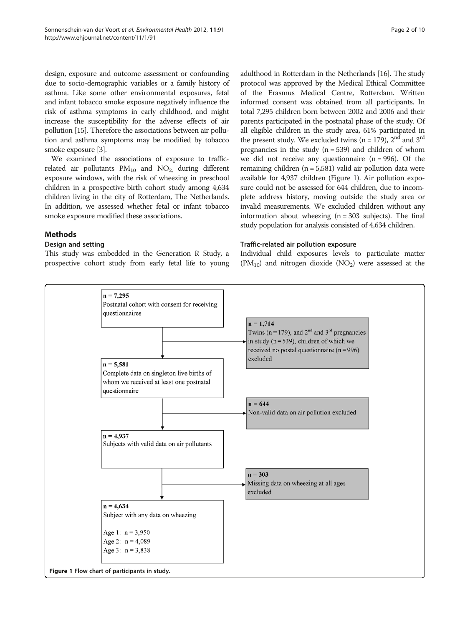design, exposure and outcome assessment or confounding due to socio-demographic variables or a family history of asthma. Like some other environmental exposures, fetal and infant tobacco smoke exposure negatively influence the risk of asthma symptoms in early childhood, and might increase the susceptibility for the adverse effects of air pollution [[15](#page-8-0)]. Therefore the associations between air pollution and asthma symptoms may be modified by tobacco smoke exposure [[3](#page-8-0)].

We examined the associations of exposure to trafficrelated air pollutants  $PM_{10}$  and  $NO_2$  during different exposure windows, with the risk of wheezing in preschool children in a prospective birth cohort study among 4,634 children living in the city of Rotterdam, The Netherlands. In addition, we assessed whether fetal or infant tobacco smoke exposure modified these associations.

# Methods

#### Design and setting

This study was embedded in the Generation R Study, a prospective cohort study from early fetal life to young

adulthood in Rotterdam in the Netherlands [[16](#page-8-0)]. The study protocol was approved by the Medical Ethical Committee of the Erasmus Medical Centre, Rotterdam. Written informed consent was obtained from all participants. In total 7,295 children born between 2002 and 2006 and their parents participated in the postnatal phase of the study. Of all eligible children in the study area, 61% participated in the present study. We excluded twins ( $n = 179$ ),  $2<sup>nd</sup>$  and  $3<sup>rd</sup>$ pregnancies in the study  $(n = 539)$  and children of whom we did not receive any questionnaire  $(n = 996)$ . Of the remaining children (n = 5,581) valid air pollution data were available for 4,937 children (Figure 1). Air pollution exposure could not be assessed for 644 children, due to incomplete address history, moving outside the study area or invalid measurements. We excluded children without any information about wheezing  $(n = 303$  subjects). The final study population for analysis consisted of 4,634 children.

#### Traffic-related air pollution exposure

Individual child exposures levels to particulate matter  $(PM_{10})$  and nitrogen dioxide  $(NO<sub>2</sub>)$  were assessed at the

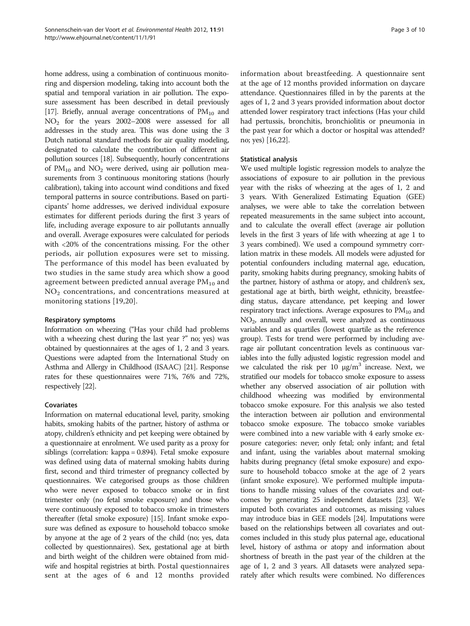home address, using a combination of continuous monitoring and dispersion modeling, taking into account both the spatial and temporal variation in air pollution. The exposure assessment has been described in detail previously [[17](#page-8-0)]. Briefly, annual average concentrations of  $PM_{10}$  and NO2 for the years 2002–2008 were assessed for all addresses in the study area. This was done using the 3 Dutch national standard methods for air quality modeling, designated to calculate the contribution of different air pollution sources [\[18\]](#page-8-0). Subsequently, hourly concentrations of  $PM_{10}$  and  $NO_2$  were derived, using air pollution measurements from 3 continuous monitoring stations (hourly calibration), taking into account wind conditions and fixed temporal patterns in source contributions. Based on participants' home addresses, we derived individual exposure estimates for different periods during the first 3 years of life, including average exposure to air pollutants annually and overall. Average exposures were calculated for periods with <20% of the concentrations missing. For the other periods, air pollution exposures were set to missing. The performance of this model has been evaluated by two studies in the same study area which show a good agreement between predicted annual average  $PM_{10}$  and  $NO<sub>2</sub>$  concentrations, and concentrations measured at monitoring stations [[19](#page-8-0),[20\]](#page-8-0).

# Respiratory symptoms

Information on wheezing ("Has your child had problems with a wheezing chest during the last year ?" no; yes) was obtained by questionnaires at the ages of 1, 2 and 3 years. Questions were adapted from the International Study on Asthma and Allergy in Childhood (ISAAC) [\[21](#page-8-0)]. Response rates for these questionnaires were 71%, 76% and 72%, respectively [[22](#page-8-0)].

# Covariates

Information on maternal educational level, parity, smoking habits, smoking habits of the partner, history of asthma or atopy, children's ethnicity and pet keeping were obtained by a questionnaire at enrolment. We used parity as a proxy for siblings (correlation: kappa = 0.894). Fetal smoke exposure was defined using data of maternal smoking habits during first, second and third trimester of pregnancy collected by questionnaires. We categorised groups as those children who were never exposed to tobacco smoke or in first trimester only (no fetal smoke exposure) and those who were continuously exposed to tobacco smoke in trimesters thereafter (fetal smoke exposure) [\[15\]](#page-8-0). Infant smoke exposure was defined as exposure to household tobacco smoke by anyone at the age of 2 years of the child (no; yes, data collected by questionnaires). Sex, gestational age at birth and birth weight of the children were obtained from midwife and hospital registries at birth. Postal questionnaires sent at the ages of 6 and 12 months provided information about breastfeeding. A questionnaire sent at the age of 12 months provided information on daycare attendance. Questionnaires filled in by the parents at the ages of 1, 2 and 3 years provided information about doctor attended lower respiratory tract infections (Has your child had pertussis, bronchitis, bronchiolitis or pneumonia in the past year for which a doctor or hospital was attended? no; yes) [[16,22](#page-8-0)].

#### Statistical analysis

We used multiple logistic regression models to analyze the associations of exposure to air pollution in the previous year with the risks of wheezing at the ages of 1, 2 and 3 years. With Generalized Estimating Equation (GEE) analyses, we were able to take the correlation between repeated measurements in the same subject into account, and to calculate the overall effect (average air pollution levels in the first 3 years of life with wheezing at age 1 to 3 years combined). We used a compound symmetry corrlation matrix in these models. All models were adjusted for potential confounders including maternal age, education, parity, smoking habits during pregnancy, smoking habits of the partner, history of asthma or atopy, and children's sex, gestational age at birth, birth weight, ethnicity, breastfeeding status, daycare attendance, pet keeping and lower respiratory tract infections. Average exposures to  $PM_{10}$  and NO2, annually and overall, were analyzed as continuous variables and as quartiles (lowest quartile as the reference group). Tests for trend were performed by including average air pollutant concentration levels as continuous variables into the fully adjusted logistic regression model and we calculated the risk per 10  $\mu$ g/m<sup>3</sup> increase. Next, we stratified our models for tobacco smoke exposure to assess whether any observed association of air pollution with childhood wheezing was modified by environmental tobacco smoke exposure. For this analysis we also tested the interaction between air pollution and environmental tobacco smoke exposure. The tobacco smoke variables were combined into a new variable with 4 early smoke exposure categories: never; only fetal; only infant; and fetal and infant, using the variables about maternal smoking habits during pregnancy (fetal smoke exposure) and exposure to household tobacco smoke at the age of 2 years (infant smoke exposure). We performed multiple imputations to handle missing values of the covariates and outcomes by generating 25 independent datasets [[23](#page-8-0)]. We imputed both covariates and outcomes, as missing values may introduce bias in GEE models [\[24](#page-8-0)]. Imputations were based on the relationships between all covariates and outcomes included in this study plus paternal age, educational level, history of asthma or atopy and information about shortness of breath in the past year of the children at the age of 1, 2 and 3 years. All datasets were analyzed separately after which results were combined. No differences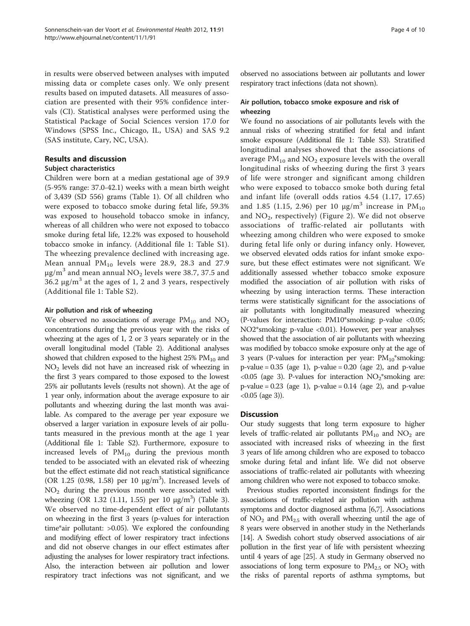in results were observed between analyses with imputed missing data or complete cases only. We only present results based on imputed datasets. All measures of association are presented with their 95% confidence intervals (CI). Statistical analyses were performed using the Statistical Package of Social Sciences version 17.0 for Windows (SPSS Inc., Chicago, IL, USA) and SAS 9.2 (SAS institute, Cary, NC, USA).

# Results and discussion

#### Subject characteristics

Children were born at a median gestational age of 39.9 (5-95% range: 37.0-42.1) weeks with a mean birth weight of 3,439 (SD 556) grams (Table [1](#page-4-0)). Of all children who were exposed to tobacco smoke during fetal life, 59.3% was exposed to household tobacco smoke in infancy, whereas of all children who were not exposed to tobacco smoke during fetal life, 12.2% was exposed to household tobacco smoke in infancy. (Additional file [1:](#page-7-0) Table S1). The wheezing prevalence declined with increasing age. Mean annual  $PM_{10}$  levels were 28.9, 28.3 and 27.9  $\mu$ g/m<sup>3</sup> and mean annual NO<sub>2</sub> levels were 38.7, 37.5 and 36.2  $\mu$ g/m<sup>3</sup> at the ages of 1, 2 and 3 years, respectively (Additional file [1:](#page-7-0) Table S2).

#### Air pollution and risk of wheezing

We observed no associations of average  $PM_{10}$  and  $NO_2$ concentrations during the previous year with the risks of wheezing at the ages of 1, 2 or 3 years separately or in the overall longitudinal model (Table [2\)](#page-5-0). Additional analyses showed that children exposed to the highest  $25\%$   $PM_{10}$  and NO2 levels did not have an increased risk of wheezing in the first 3 years compared to those exposed to the lowest 25% air pollutants levels (results not shown). At the age of 1 year only, information about the average exposure to air pollutants and wheezing during the last month was available. As compared to the average per year exposure we observed a larger variation in exposure levels of air pollutants measured in the previous month at the age 1 year (Additional file [1](#page-7-0): Table S2). Furthermore, exposure to increased levels of  $PM_{10}$  during the previous month tended to be associated with an elevated risk of wheezing but the effect estimate did not reach statistical significance (OR 1.25 (0.98, 1.58) per 10  $\mu$ g/m<sup>3</sup>). Increased levels of  $NO<sub>2</sub>$  during the previous month were associated with wheezing (OR 1.32 (1.11, 1.55) per 10  $\mu$ g/m<sup>3</sup>) (Table [3](#page-5-0)). We observed no time-dependent effect of air pollutants on wheezing in the first 3 years (p-values for interaction time\*air pollutant: >0.05). We explored the confounding and modifying effect of lower respiratory tract infections and did not observe changes in our effect estimates after adjusting the analyses for lower respiratory tract infections. Also, the interaction between air pollution and lower respiratory tract infections was not significant, and we observed no associations between air pollutants and lower respiratory tract infections (data not shown).

# Air pollution, tobacco smoke exposure and risk of wheezing

We found no associations of air pollutants levels with the annual risks of wheezing stratified for fetal and infant smoke exposure (Additional file [1:](#page-7-0) Table S3). Stratified longitudinal analyses showed that the associations of average  $PM_{10}$  and  $NO_2$  exposure levels with the overall longitudinal risks of wheezing during the first 3 years of life were stronger and significant among children who were exposed to tobacco smoke both during fetal and infant life (overall odds ratios 4.54 (1.17, 17.65) and 1.85 (1.15, 2.96) per 10  $\mu$ g/m<sup>3</sup> increase in PM<sub>10</sub> and NO<sub>2</sub>, respectively) (Figure [2](#page-6-0)). We did not observe associations of traffic-related air pollutants with wheezing among children who were exposed to smoke during fetal life only or during infancy only. However, we observed elevated odds ratios for infant smoke exposure, but these effect estimates were not significant. We additionally assessed whether tobacco smoke exposure modified the association of air pollution with risks of wheezing by using interaction terms. These interaction terms were statistically significant for the associations of air pollutants with longitudinally measured wheezing (P-values for interaction: PM10\*smoking: p-value <0.05; NO2\*smoking: p-value <0.01). However, per year analyses showed that the association of air pollutants with wheezing was modified by tobacco smoke exposure only at the age of 3 years (P-values for interaction per year:  $PM_{10}$ \*smoking:  $p$ -value = 0.35 (age 1),  $p$ -value = 0.20 (age 2), and  $p$ -value  $< 0.05$  (age 3). P-values for interaction  $NO<sub>2</sub>$ <sup>\*</sup>smoking are:  $p$ -value = 0.23 (age 1),  $p$ -value = 0.14 (age 2), and  $p$ -value <0.05 (age 3)).

# Discussion

Our study suggests that long term exposure to higher levels of traffic-related air pollutants  $PM_{10}$  and  $NO_2$  are associated with increased risks of wheezing in the first 3 years of life among children who are exposed to tobacco smoke during fetal and infant life. We did not observe associations of traffic-related air pollutants with wheezing among children who were not exposed to tobacco smoke.

Previous studies reported inconsistent findings for the associations of traffic-related air pollution with asthma symptoms and doctor diagnosed asthma [\[6,7\]](#page-8-0). Associations of  $NO<sub>2</sub>$  and  $PM<sub>2.5</sub>$  with overall wheezing until the age of 8 years were observed in another study in the Netherlands [[14](#page-8-0)]. A Swedish cohort study observed associations of air pollution in the first year of life with persistent wheezing until 4 years of age [\[25\]](#page-8-0). A study in Germany observed no associations of long term exposure to  $PM_{2.5}$  or  $NO<sub>2</sub>$  with the risks of parental reports of asthma symptoms, but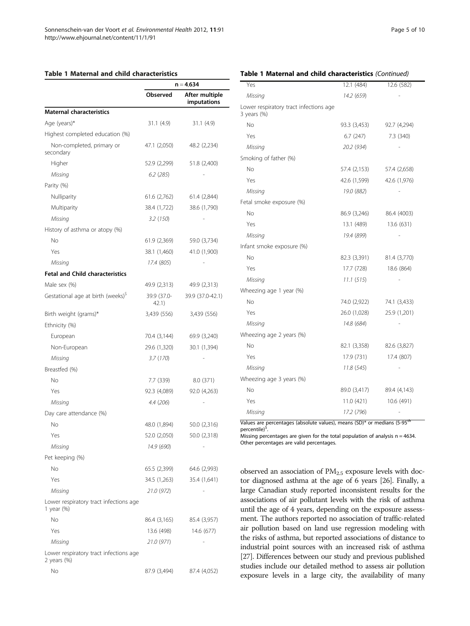#### <span id="page-4-0"></span>Table 1 Maternal and child characteristics

|                                                          | $n = 4,634$          |                               |
|----------------------------------------------------------|----------------------|-------------------------------|
|                                                          | Observed             | After multiple<br>imputations |
| <b>Maternal characteristics</b>                          |                      |                               |
| Age (years)*                                             | 31.1(4.9)            | 31.1(4.9)                     |
| Highest completed education (%)                          |                      |                               |
| Non-completed, primary or<br>secondary                   | 47.1 (2,050)         | 48.2 (2,234)                  |
| Higher                                                   | 52.9 (2,299)         | 51.8 (2,400)                  |
| Missing                                                  | 6.2(285)             |                               |
| Parity (%)                                               |                      |                               |
| Nulliparity                                              | 61.6 (2,762)         | 61.4 (2,844)                  |
| Multiparity                                              | 38.4 (1,722)         | 38.6 (1,790)                  |
| Missing                                                  | 3.2 (150)            |                               |
| History of asthma or atopy (%)                           |                      |                               |
| No                                                       | 61.9 (2,369)         | 59.0 (3,734)                  |
| Yes                                                      | 38.1 (1,460)         | 41.0 (1,900)                  |
| Missing                                                  | 17.4 (805)           |                               |
| <b>Fetal and Child characteristics</b>                   |                      |                               |
| Male sex (%)                                             | 49.9 (2,313)         | 49.9 (2,313)                  |
| Gestational age at birth (weeks) <sup>5</sup>            | 39.9 (37.0-<br>42.1) | 39.9 (37.0-42.1)              |
| Birth weight (grams)*                                    | 3,439 (556)          | 3,439 (556)                   |
| Ethnicity (%)                                            |                      |                               |
| European                                                 | 70.4 (3,144)         | 69.9 (3,240)                  |
| Non-European                                             | 29.6 (1,320)         | 30.1 (1,394)                  |
| Missing                                                  | 3.7(170)             |                               |
| Breastfed (%)                                            |                      |                               |
| No                                                       | 7.7 (339)            | 8.0 (371)                     |
| Yes                                                      | 92.3 (4,089)         | 92.0 (4,263)                  |
| Missing                                                  | 4.4 (206)            |                               |
| Day care attendance (%)                                  |                      |                               |
| No                                                       | 48.0 (1,894)         | 50.0 (2,316)                  |
| Yes                                                      | 52.0 (2,050)         | 50.0 (2,318)                  |
| Missing                                                  | 14.9 (690)           |                               |
| Pet keeping (%)                                          |                      |                               |
| No                                                       | 65.5 (2,399)         | 64.6 (2,993)                  |
| Yes                                                      | 34.5 (1,263)         | 35.4 (1,641)                  |
| Missing                                                  | 21.0 (972)           |                               |
| Lower respiratory tract infections age<br>1 year (%)     |                      |                               |
| No                                                       | 86.4 (3,165)         | 85.4 (3,957)                  |
| Yes                                                      | 13.6 (498)           | 14.6 (677)                    |
| Missing                                                  | 21.0 (971)           |                               |
| Lower respiratory tract infections age<br>2 years $(\%)$ |                      |                               |
| No                                                       | 87.9 (3,494)         | 87.4 (4,052)                  |

#### Table 1 Maternal and child characteristics (Continued)

| 12.1(484)    | 12.6 (582)   |
|--------------|--------------|
| 14.2 (659)   |              |
|              |              |
| 93.3 (3,453) | 92.7 (4,294) |
| 6.7(247)     | 7.3 (340)    |
| 20.2 (934)   |              |
|              |              |
| 57.4 (2,153) | 57.4 (2,658) |
| 42.6 (1,599) | 42.6 (1,976) |
| 19.0 (882)   |              |
|              |              |
| 86.9 (3,246) | 86.4 (4003)  |
| 13.1 (489)   | 13.6 (631)   |
| 19.4 (899)   |              |
|              |              |
| 82.3 (3,391) | 81.4 (3,770) |
| 17.7 (728)   | 18.6 (864)   |
| 11.1(515)    |              |
|              |              |
| 74.0 (2,922) | 74.1 (3,433) |
| 26.0 (1,028) | 25.9 (1,201) |
| 14.8 (684)   |              |
|              |              |
| 82.1 (3,358) | 82.6 (3,827) |
| 17.9 (731)   | 17.4 (807)   |
| 11.8(545)    |              |
|              |              |
| 89.0 (3,417) | 89.4 (4,143) |
| 11.0 (421)   | 10.6 (491)   |
| 17.2 (796)   |              |
|              |              |

Values are percentages (absolute values), means (SD)\* or medians (5-95<sup>th</sup> percentile)<sup>\$</sup> .

Missing percentages are given for the total population of analysis n = 4634. Other percentages are valid percentages.

observed an association of  $PM_{2.5}$  exposure levels with doctor diagnosed asthma at the age of 6 years [[26](#page-8-0)]. Finally, a large Canadian study reported inconsistent results for the associations of air pollutant levels with the risk of asthma until the age of 4 years, depending on the exposure assessment. The authors reported no association of traffic-related air pollution based on land use regression modeling with the risks of asthma, but reported associations of distance to industrial point sources with an increased risk of asthma [[27](#page-8-0)]. Differences between our study and previous published studies include our detailed method to assess air pollution exposure levels in a large city, the availability of many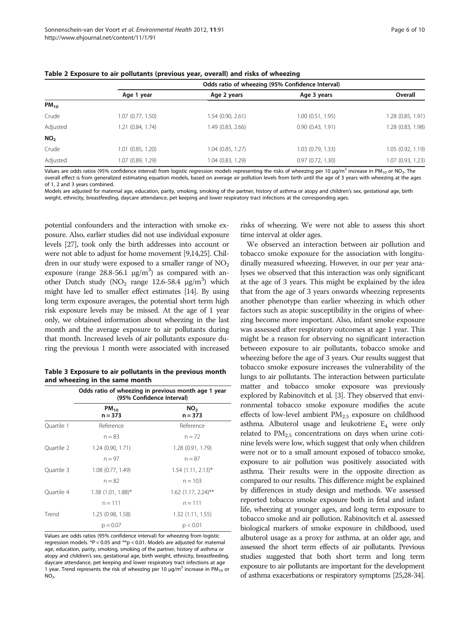|                 |                       | Odds ratio of wheezing (95% Confidence Interval) |                  |                   |  |
|-----------------|-----------------------|--------------------------------------------------|------------------|-------------------|--|
|                 | Age 1 year            | Age 2 years                                      | Age 3 years      | Overall           |  |
| $PM_{10}$       |                       |                                                  |                  |                   |  |
| Crude           | 1.07(0.77, 1.50)      | 1.54 (0.90, 2.61)                                | 1.00(0.51, 1.95) | 1.28 (0.85, 1.91) |  |
| Adjusted        | 1.21 (0.84, 1.74)     | 1.49 (0.83, 2.66)                                | 0.90(0.43, 1.91) | 1.28 (0.83, 1.98) |  |
| NO <sub>2</sub> |                       |                                                  |                  |                   |  |
| Crude           | $1.01$ $(0.85, 1.20)$ | 1.04 (0.85, 1.27)                                | 1.03(0.79, 1.33) | 1.05(0.92, 1.19)  |  |
| Adjusted        | 1.07 (0.89, 1.29)     | 1.04 (0.83, 1.29)                                | 0.97(0.72, 1.30) | 1.07 (0.93, 1.23) |  |
| $\cdots$        | .                     |                                                  |                  | $\cdots$          |  |

<span id="page-5-0"></span>Table 2 Exposure to air pollutants (previous year, overall) and risks of wheezing

Values are odds ratios (95% confidence interval) from logistic regression models representing the risks of wheezing per 10  $\mu g/m^3$  increase in PM<sub>10</sub> or NO<sub>2</sub>. The overall effect is from generalized estimating equation models, based on average air pollution levels from birth until the age of 3 years with wheezing at the ages of 1, 2 and 3 years combined.

Models are adjusted for maternal age, education, parity, smoking, smoking of the partner, history of asthma or atopy and children's sex, gestational age, birth weight, ethnicity, breastfeeding, daycare attendance, pet keeping and lower respiratory tract infections at the corresponding ages.

potential confounders and the interaction with smoke exposure. Also, earlier studies did not use individual exposure levels [\[27](#page-8-0)], took only the birth addresses into account or were not able to adjust for home movement [\[9,14,25](#page-8-0)]. Children in our study were exposed to a smaller range of  $NO<sub>2</sub>$ exposure (range  $28.8 - 56.1$   $\mu$ g/m<sup>3</sup>) as compared with another Dutch study ( $NO<sub>2</sub>$  range 12.6-58.4  $\mu$ g/m<sup>3</sup>) which might have led to smaller effect estimates [\[14\]](#page-8-0). By using long term exposure averages, the potential short term high risk exposure levels may be missed. At the age of 1 year only, we obtained information about wheezing in the last month and the average exposure to air pollutants during that month. Increased levels of air pollutants exposure during the previous 1 month were associated with increased

| Table 3 Exposure to air pollutants in the previous month |  |
|----------------------------------------------------------|--|
| and wheezing in the same month                           |  |

|            | Odds ratio of wheezing in previous month age 1 year<br>(95% Confidence Interval) |                              |  |
|------------|----------------------------------------------------------------------------------|------------------------------|--|
|            | $PM_{10}$<br>$n = 373$                                                           | NO <sub>2</sub><br>$n = 373$ |  |
| Quartile 1 | Reference                                                                        | Reference                    |  |
|            | $n = 83$                                                                         | $n = 72$                     |  |
| Ouartile 2 | 1.24 (0.90, 1.71)                                                                | 1.28 (0.91, 1.79)            |  |
|            | $n = 97$                                                                         | $n = 87$                     |  |
| Ouartile 3 | 1.08 (0.77, 1.49)                                                                | $1.54$ (1.11, 2.13)*         |  |
|            | $n = 82$                                                                         | $n = 103$                    |  |
| Quartile 4 | $1.38$ (1.01, 1.88)*                                                             | $1.62$ (1.17, 2.24)**        |  |
|            | $n = 111$                                                                        | $n = 111$                    |  |
| Trend      | 1.25 (0.98, 1.58)                                                                | 1.32(1.11, 1.55)             |  |
|            | $p = 0.07$                                                                       | p < 0.01                     |  |

Values are odds ratios (95% confidence interval) for wheezing from logistic regression models. \*P < 0.05 and \*\*p < 0.01. Models are adjusted for maternal age, education, parity, smoking, smoking of the partner, history of asthma or atopy and children's sex, gestational age, birth weight, ethnicity, breastfeeding, daycare attendance, pet keeping and lower respiratory tract infections at age 1 year. Trend represents the risk of wheezing per 10  $\mu$ g/m<sup>3</sup> increase in PM<sub>10</sub> or  $NO<sub>2</sub>$ .

risks of wheezing. We were not able to assess this short time interval at older ages.

We observed an interaction between air pollution and tobacco smoke exposure for the association with longitudinally measured wheezing. However, in our per year analyses we observed that this interaction was only significant at the age of 3 years. This might be explained by the idea that from the age of 3 years onwards wheezing represents another phenotype than earlier wheezing in which other factors such as atopic susceptibility in the origins of wheezing become more important. Also, infant smoke exposure was assessed after respiratory outcomes at age 1 year. This might be a reason for observing no significant interaction between exposure to air pollutants, tobacco smoke and wheezing before the age of 3 years. Our results suggest that tobacco smoke exposure increases the vulnerability of the lungs to air pollutants. The interaction between particulate matter and tobacco smoke exposure was previously explored by Rabinovitch et al. [[3](#page-8-0)]. They observed that environmental tobacco smoke exposure modifies the acute effects of low-level ambient  $PM_{2.5}$  exposure on childhood asthma. Albuterol usage and leukotriene  $E_4$  were only related to  $PM_{2.5}$  concentrations on days when urine cotinine levels were low, which suggest that only when children were not or to a small amount exposed of tobacco smoke, exposure to air pollution was positively associated with asthma. Their results were in the opposite direction as compared to our results. This difference might be explained by differences in study design and methods. We assessed reported tobacco smoke exposure both in fetal and infant life, wheezing at younger ages, and long term exposure to tobacco smoke and air pollution. Rabinovitch et al. assessed biological markers of smoke exposure in childhood, used albuterol usage as a proxy for asthma, at an older age, and assessed the short term effects of air pollutants. Previous studies suggested that both short term and long term exposure to air pollutants are important for the development of asthma exacerbations or respiratory symptoms [[25,28](#page-8-0)[-34\]](#page-9-0).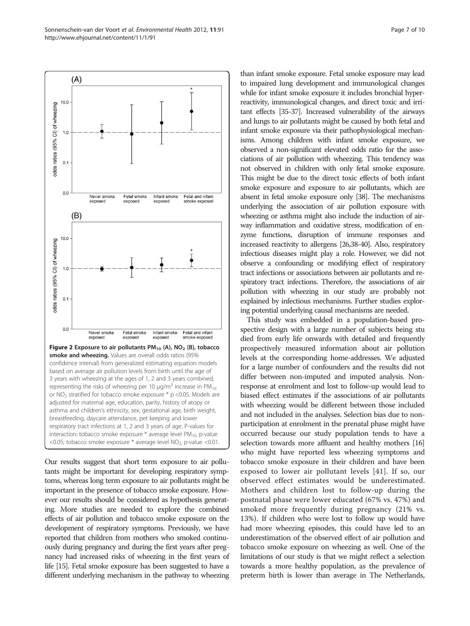<span id="page-6-0"></span>Sonnenschein-van der Voort et al. Environmental Health 2012, 11:91 Page 7 of 10 http://www.ehjournal.net/content/11/1/91



Our results suggest that short term exposure to air pollutants might be important for developing respiratory symptoms, whereas long term exposure to air pollutants might be important in the presence of tobacco smoke exposure. However our results should be considered as hypothesis generating. More studies are needed to explore the combined effects of air pollution and tobacco smoke exposure on the development of respiratory symptoms. Previously, we have reported that children from mothers who smoked continuously during pregnancy and during the first years after pregnancy had increased risks of wheezing in the first years of life [\[15](#page-8-0)]. Fetal smoke exposure has been suggested to have a different underlying mechanism in the pathway to wheezing

than infant smoke exposure. Fetal smoke exposure may lead to impaired lung development and immunological changes while for infant smoke exposure it includes bronchial hyperreactivity, immunological changes, and direct toxic and irritant effects [\[35-37](#page-9-0)]. Increased vulnerability of the airways and lungs to air pollutants might be caused by both fetal and infant smoke exposure via their pathophysiological mechanisms. Among children with infant smoke exposure, we observed a non-significant elevated odds ratio for the associations of air pollution with wheezing. This tendency was not observed in children with only fetal smoke exposure. This might be due to the direct toxic effects of both infant smoke exposure and exposure to air pollutants, which are absent in fetal smoke exposure only [\[38](#page-9-0)]. The mechanisms underlying the association of air pollution exposure with wheezing or asthma might also include the induction of airway inflammation and oxidative stress, modification of enzyme functions, disruption of immune responses and increased reactivity to allergens [\[26](#page-8-0)[,38-40](#page-9-0)]. Also, respiratory infectious diseases might play a role. However, we did not observe a confounding or modifying effect of respiratory tract infections or associations between air pollutants and respiratory tract infections. Therefore, the associations of air pollution with wheezing in our study are probably not explained by infectious mechanisms. Further studies exploring potential underlying causal mechanisms are needed.

This study was embedded in a population-based prospective design with a large number of subjects being stu died from early life onwards with detailed and frequently prospectively measured information about air pollution levels at the corresponding home-addresses. We adjusted for a large number of confounders and the results did not differ between non-imputed and imputed analysis. Nonresponse at enrolment and lost to follow-up would lead to biased effect estimates if the associations of air pollutants with wheezing would be different between those included and not included in the analyses. Selection bias due to nonparticipation at enrolment in the prenatal phase might have occurred because our study population tends to have a selection towards more affluent and healthy mothers [\[16](#page-8-0)] who might have reported less wheezing symptoms and tobacco smoke exposure in their children and have been exposed to lower air pollutant levels [[41](#page-9-0)]. If so, our observed effect estimates would be underestimated. Mothers and children lost to follow-up during the postnatal phase were lower educated (67% vs. 47%) and smoked more frequently during pregnancy (21% vs. 13%). If children who were lost to follow up would have had more wheezing episodes, this could have led to an underestimation of the observed effect of air pollution and tobacco smoke exposure on wheezing as well. One of the limitations of our study is that we might reflect a selection towards a more healthy population, as the prevalence of preterm birth is lower than average in The Netherlands,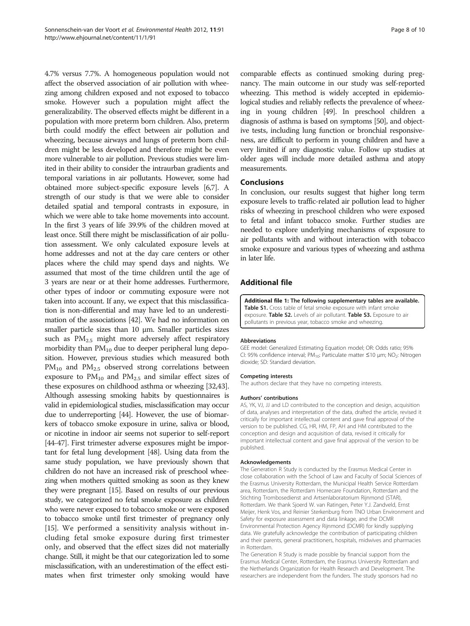<span id="page-7-0"></span>4.7% versus 7.7%. A homogeneous population would not affect the observed association of air pollution with wheezing among children exposed and not exposed to tobacco smoke. However such a population might affect the generalizability. The observed effects might be different in a population with more preterm born children. Also, preterm birth could modify the effect between air pollution and wheezing, because airways and lungs of preterm born children might be less developed and therefore might be even more vulnerable to air pollution. Previous studies were limited in their ability to consider the intraurban gradients and temporal variations in air pollutants. However, some had obtained more subject-specific exposure levels [\[6,7](#page-8-0)]. A strength of our study is that we were able to consider detailed spatial and temporal contrasts in exposure, in which we were able to take home movements into account. In the first 3 years of life 39.9% of the children moved at least once. Still there might be misclassification of air pollution assessment. We only calculated exposure levels at home addresses and not at the day care centers or other places where the child may spend days and nights. We assumed that most of the time children until the age of 3 years are near or at their home addresses. Furthermore, other types of indoor or commuting exposure were not taken into account. If any, we expect that this misclassification is non-differential and may have led to an underestimation of the associations [[42](#page-9-0)]. We had no information on smaller particle sizes than 10 μm. Smaller particles sizes such as  $PM_{2.5}$  might more adversely affect respiratory morbidity than  $PM_{10}$  due to deeper peripheral lung deposition. However, previous studies which measured both  $PM_{10}$  and  $PM_{2.5}$  observed strong correlations between exposure to  $PM_{10}$  and  $PM_{2.5}$  and similar effect sizes of these exposures on childhood asthma or wheezing [\[32,43](#page-9-0)]. Although assessing smoking habits by questionnaires is valid in epidemiological studies, misclassification may occur due to underreporting [[44](#page-9-0)]. However, the use of biomarkers of tobacco smoke exposure in urine, saliva or blood, or nicotine in indoor air seems not superior to self-report [[44](#page-9-0)-[47](#page-9-0)]. First trimester adverse exposures might be important for fetal lung development [\[48\]](#page-9-0). Using data from the same study population, we have previously shown that children do not have an increased risk of preschool wheezing when mothers quitted smoking as soon as they knew they were pregnant [\[15](#page-8-0)]. Based on results of our previous study, we categorized no fetal smoke exposure as children who were never exposed to tobacco smoke or were exposed to tobacco smoke until first trimester of pregnancy only [[15](#page-8-0)]. We performed a sensitivity analysis without including fetal smoke exposure during first trimester only, and observed that the effect sizes did not materially change. Still, it might be that our categorization led to some misclassification, with an underestimation of the effect estimates when first trimester only smoking would have

comparable effects as continued smoking during pregnancy. The main outcome in our study was self-reported wheezing. This method is widely accepted in epidemiological studies and reliably reflects the prevalence of wheezing in young children [\[49\]](#page-9-0). In preschool children a diagnosis of asthma is based on symptoms [\[50\]](#page-9-0), and objective tests, including lung function or bronchial responsiveness, are difficult to perform in young children and have a very limited if any diagnostic value. Follow up studies at older ages will include more detailed asthma and atopy measurements.

#### **Conclusions**

In conclusion, our results suggest that higher long term exposure levels to traffic-related air pollution lead to higher risks of wheezing in preschool children who were exposed to fetal and infant tobacco smoke. Further studies are needed to explore underlying mechanisms of exposure to air pollutants with and without interaction with tobacco smoke exposure and various types of wheezing and asthma in later life.

# Additional file

[Additional file 1:](http://www.biomedcentral.com/content/supplementary/1476-069X-11-91-S1.pdf) The following supplementary tables are available. Table S1. Cross table of fetal smoke exposure with infant smoke exposure. Table S2. Levels of air pollutant. Table S3. Exposure to air pollutants in previous year, tobacco smoke and wheezing.

#### Abbreviations

GEE model: Generalized Estimating Equation model; OR: Odds ratio; 95% CI: 95% confidence interval; PM<sub>10</sub>: Particulate matter ≤10 μm; NO<sub>2</sub>: Nitrogen dioxide; SD: Standard deviation.

#### Competing interests

The authors declare that they have no competing interests.

#### Authors' contributions

AS, YK, VJ, JJ and LD contributed to the conception and design, acquisition of data, analyses and interpretation of the data, drafted the article, revised it critically for important intellectual content and gave final approval of the version to be published. CG, HR, HM, FP, AH and HM contributed to the conception and design and acquisition of data, revised it critically for important intellectual content and gave final approval of the version to be published.

#### Acknowledgements

The Generation R Study is conducted by the Erasmus Medical Center in close collaboration with the School of Law and Faculty of Social Sciences of the Erasmus University Rotterdam, the Municipal Health Service Rotterdam area, Rotterdam, the Rotterdam Homecare Foundation, Rotterdam and the Stichting Trombosedienst and Artsenlaboratorium Rijnmond (STAR), Rotterdam. We thank Sjoerd W. van Ratingen, Peter Y.J. Zandveld, Ernst Meijer, Henk Vos, and Reinier Sterkenburg from TNO Urban Environment and Safety for exposure assessment and data linkage, and the DCMR Environmental Protection Agency Rijnmond (DCMR) for kindly supplying data. We gratefully acknowledge the contribution of participating children and their parents, general practitioners, hospitals, midwives and pharmacies in Rotterdam.

The Generation R Study is made possible by financial support from the Erasmus Medical Center, Rotterdam, the Erasmus University Rotterdam and the Netherlands Organization for Health Research and Development. The researchers are independent from the funders. The study sponsors had no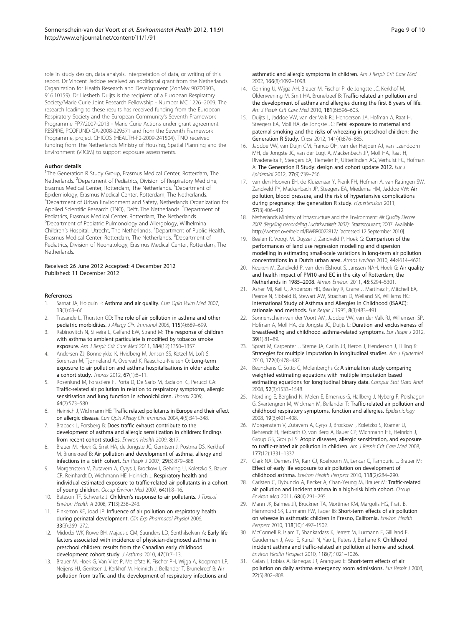<span id="page-8-0"></span>role in study design, data analysis, interpretation of data, or writing of this report. Dr Vincent Jaddoe received an additional grant from the Netherlands Organization for Health Research and Development (ZonMw 90700303, 916.10159). Dr Liesbeth Duijts is the recipient of a European Respiratory Society/Marie Curie Joint Research Fellowship - Number MC 1226–2009. The research leading to these results has received funding from the European Respiratory Society and the European Community's Seventh Framework Programme FP7/2007-2013 - Marie Curie Actions under grant agreement RESPIRE, PCOFUND-GA-2008-229571 and from the Seventh Framework Programme, project CHICOS (HEALTH-F2-2009-241504). TNO received funding from The Netherlands Ministry of Housing, Spatial Planning and the Environment (VROM) to support exposure assessments.

#### Author details

<sup>1</sup>The Generation R Study Group, Erasmus Medical Center, Rotterdam, The Netherlands. <sup>2</sup>Department of Pediatrics, Division of Respiratory Medicine, Erasmus Medical Center, Rotterdam, The Netherlands. <sup>3</sup>Department of Epidemiology, Erasmus Medical Center, Rotterdam, The Netherlands. 4 Department of Urban Environment and Safety, Netherlands Organization for Applied Scientific Research (TNO), Delft, The Netherlands. <sup>5</sup>Department of Pediatrics, Erasmus Medical Center, Rotterdam, The Netherlands. 6 Department of Pediatric Pulmonology and Allergology, Wilhelmina Children's Hospital, Utrecht, The Netherlands. <sup>7</sup>Department of Public Health, Erasmus Medical Center, Rotterdam, The Netherlands. <sup>8</sup>Department of Pediatrics, Division of Neonatology, Erasmus Medical Center, Rotterdam, The **Netherlands** 

#### Received: 26 June 2012 Accepted: 4 December 2012 Published: 11 December 2012

#### References

- 1. Sarnat JA, Holguin F: Asthma and air quality. Curr Opin Pulm Med 2007, 13(1):63–66.
- 2. Trasande L, Thurston GD: The role of air pollution in asthma and other pediatric morbidities. J Allergy Clin Immunol 2005, 115(4):689–699.
- Rabinovitch N, Silveira L, Gelfand EW, Strand M: The response of children with asthma to ambient particulate is modified by tobacco smoke exposure. Am J Respir Crit Care Med 2011, 184(12):1350–1357.
- 4. Andersen ZJ, Bonnelykke K, Hvidberg M, Jensen SS, Ketzel M, Loft S, Sorensen M, Tjonneland A, Overvad K, Raaschou-Nielsen O: Long-term exposure to air pollution and asthma hospitalisations in older adults: a cohort study. Thorax 2012, 67(1):6–11.
- 5. Rosenlund M, Forastiere F, Porta D, De Sario M, Badaloni C, Perucci CA: Traffic-related air pollution in relation to respiratory symptoms, allergic sensitisation and lung function in schoolchildren. Thorax 2009, 64(7):573–580.
- 6. Heinrich J, Wichmann HE: Traffic related pollutants in Europe and their effect on allergic disease. Curr Opin Allergy Clin Immunol 2004, 4(5):341–348.
- Braback L, Forsberg B: Does traffic exhaust contribute to the development of asthma and allergic sensitization in children: findings from recent cohort studies. Environ Health 2009, 8:17.
- 8. Brauer M, Hoek G, Smit HA, de Jongste JC, Gerritsen J, Postma DS, Kerkhof M, Brunekreef B: Air pollution and development of asthma, allergy and infections in a birth cohort. Eur Respir J 2007, 29(5):879–888.
- 9. Morgenstern V, Zutavern A, Cyrys J, Brockow I, Gehring U, Koletzko S, Bauer CP, Reinhardt D, Wichmann HE, Heinrich J: Respiratory health and individual estimated exposure to traffic-related air pollutants in a cohort of young children. Occup Environ Med 2007, 64(1):8–16.
- 10. Bateson TF, Schwartz J: Children's response to air pollutants. J Toxicol Environ Health A 2008, 71(3):238–243.
- 11. Pinkerton KE, Joad JP: Influence of air pollution on respiratory health during perinatal development. Clin Exp Pharmacol Physiol 2006, 33(3):269–272.
- 12. Midodzi WK, Rowe BH, Majaesic CM, Saunders LD, Senthilselvan A: Early life factors associated with incidence of physician-diagnosed asthma in preschool children: results from the Canadian early childhood development cohort study. J Asthma 2010, 47(1):7–13.
- 13. Brauer M, Hoek G, Van Vliet P, Meliefste K, Fischer PH, Wijga A, Koopman LP, Neijens HJ, Gerritsen J, Kerkhof M, Heinrich J, Bellander T, Brunekreef B: Air pollution from traffic and the development of respiratory infections and

asthmatic and allergic symptoms in children. Am J Respir Crit Care Med 2002, 166(8):1092–1098.

- 14. Gehring U, Wijga AH, Brauer M, Fischer P, de Jongste JC, Kerkhof M, Oldenwening M, Smit HA, Brunekreef B: Traffic-related air pollution and the development of asthma and allergies during the first 8 years of life. Am J Respir Crit Care Med 2010, 181(6):596–603.
- 15. Duijts L, Jaddoe VW, van der Valk RJ, Henderson JA, Hofman A, Raat H, Steegers EA, Moll HA, de Jongste JC: Fetal exposure to maternal and paternal smoking and the risks of wheezing in preschool children: the Generation R Study. Chest 2012, 141(4):876–885.
- 16. Jaddoe VW, van Duijn CM, Franco OH, van der Heijden AJ, van IJzendoorn MH, de Jongste JC, van der Lugt A, Mackenbach JP, Moll HA, Raat H, Rivadeneira F, Steegers EA, Tiemeier H, Uitterlinden AG, Verhulst FC, Hofman A: The Generation R Study: design and cohort update 2012. Eur J Epidemiol 2012, 27(9):739–756.
- 17. van den Hooven EH, de Kluizenaar Y, Pierik FH, Hofman A, van Ratingen SW, Zandveld PY, Mackenbach JP, Steegers EA, Miedema HM, Jaddoe VW: Air pollution, blood pressure, and the risk of hypertensive complications during pregnancy: the generation R study. Hypertension 2011, 57(3):406–412.
- 18. Netherlands Ministry of Infrastructure and the Environment: Air Quality Decree 2007 (Regeling beoordeling Luchtkwaliteit 2007).: Staatscourant; 2007. Available: <http://wetten.overheid.nl/BWBR0022817/> [accessed 12 September 2010].
- 19. Beelen R, Voogt M, Duyzer J, Zandveld P, Hoek G: Comparison of the performances of land use regression modelling and dispersion modelling in estimating small-scale variations in long-term air pollution concentrations in a Dutch urban area. Atmos Environ 2010, 44:4614–4621.
- 20. Keuken M, Zandveld P, van den Elshout S, Janssen NAH, Hoek G; Air quality and health impact of PM10 and EC in the city of Rotterdam, the Netherlands in 1985–2008. Atmos Environ 2011, 45:5294–5301.
- 21. Asher MI, Keil U, Anderson HR, Beasley R, Crane J, Martinez F, Mitchell EA, Pearce N, Sibbald B, Stewart AW, Strachan D, Weiland SK, Williams HC: International Study of Asthma and Allergies in Childhood (ISAAC): rationale and methods. Eur Respir J 1995, 8(3):483-491.
- 22. Sonnenschein-van der Voort AM, Jaddoe VW, van der Valk RJ, Willemsen SP, Hofman A, Moll HA, de Jongste JC, Duijts L: Duration and exclusiveness of breastfeeding and childhood asthma-related symptoms. Eur Respir J 2012, 39(1):81–89.
- 23. Spratt M, Carpenter J, Sterne JA, Carlin JB, Heron J, Henderson J, Tilling K: Strategies for multiple imputation in longitudinal studies. Am J Epidemiol 2010, 172(4):478–487.
- 24. Beunckens C, Sotto C, Molenberghs G: A simulation study comparing weighted estimating equations with multiple imputation based estimating equations for longitudinal binary data. Comput Stat Data Anal 2008, 52(3):1533–1548.
- 25. Nordling E, Berglind N, Melen E, Emenius G, Hallberg J, Nyberg F, Pershagen G, Svartengren M, Wickman M, Bellander T: Traffic-related air pollution and childhood respiratory symptoms, function and allergies. Epidemiology 2008, 19(3):401–408.
- 26. Morgenstern V, Zutavern A, Cyrys J, Brockow I, Koletzko S, Kramer U, Behrendt H, Herbarth O, von Berg A, Bauer CP, Wichmann HE, Heinrich J, Group GS, Group LS: Atopic diseases, allergic sensitization, and exposure to traffic-related air pollution in children. Am J Respir Crit Care Med 2008, 177(12):1331–1337.
- 27. Clark NA, Demers PA, Karr CJ, Koehoorn M, Lencar C, Tamburic L, Brauer M: Effect of early life exposure to air pollution on development of childhood asthma. Environ Health Perspect 2010, 118(2):284–290.
- 28. Carlsten C, Dybuncio A, Becker A, Chan-Yeung M, Brauer M: Traffic-related air pollution and incident asthma in a high-risk birth cohort. Occup Environ Med 2011, 68(4):291–295.
- 29. Mann JK, Balmes JR, Bruckner TA, Mortimer KM, Margolis HG, Pratt B, Hammond SK, Lurmann FW, Tager IB: Short-term effects of air pollution on wheeze in asthmatic children in Fresno, California. Environ Health Perspect 2010, 118(10):1497-1502.
- 30. McConnell R, Islam T, Shankardass K, Jerrett M, Lurmann F, Gilliland F, Gauderman J, Avol E, Kunzli N, Yao L, Peters J, Berhane K: Childhood incident asthma and traffic-related air pollution at home and school. Environ Health Perspect 2010, 118(7):1021–1026.
- 31. Galan I, Tobias A, Banegas JR, Aranguez E: Short-term effects of air pollution on daily asthma emergency room admissions. Eur Respir J 2003, 22(5):802–808.